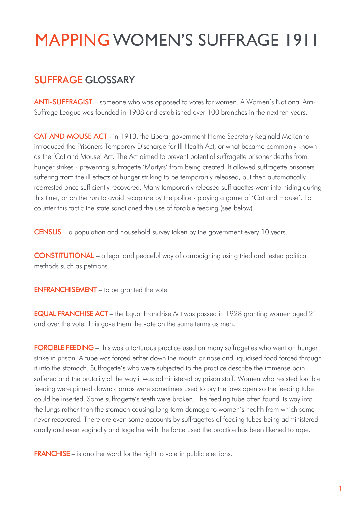## MAPPING WOMEN'S SUFFRAGE 1911

## SUFFRAGE GLOSSARY

ANTI-SUFFRAGIST – someone who was opposed to votes for women. A Women's National Anti-Suffrage League was founded in 1908 and established over 100 branches in the next ten years.

CAT AND MOUSE ACT - in 1913, the Liberal government Home Secretary Reginald McKenna introduced the Prisoners Temporary Discharge for Ill Health Act, or what became commonly known as the 'Cat and Mouse' Act. The Act aimed to prevent potential suffragette prisoner deaths from hunger strikes - preventing suffragette 'Martyrs' from being created. It allowed suffragette prisoners suffering from the ill effects of hunger striking to be temporarily released, but then automatically rearrested once sufficiently recovered. Many temporarily released suffragettes went into hiding during this time, or on the run to avoid recapture by the police - playing a game of 'Cat and mouse'. To counter this tactic the state sanctioned the use of forcible feeding (see below).

CENSUS – a population and household survey taken by the government every 10 years.

CONSTITUTIONAL – a legal and peaceful way of campaigning using tried and tested political methods such as petitions.

ENFRANCHISEMENT – to be granted the vote.

**EQUAL FRANCHISE ACT** – the Equal Franchise Act was passed in 1928 granting women aged 21 and over the vote. This gave them the vote on the same terms as men.

FORCIBLE FEEDING – this was a torturous practice used on many suffragettes who went on hunger strike in prison. A tube was forced either down the mouth or nose and liquidised food forced through it into the stomach. Suffragette's who were subjected to the practice describe the immense pain suffered and the brutality of the way it was administered by prison staff. Women who resisted forcible feeding were pinned down; clamps were sometimes used to pry the jaws open so the feeding tube could be inserted. Some suffragette's teeth were broken. The feeding tube often found its way into the lungs rather than the stomach causing long term damage to women's health from which some never recovered. There are even some accounts by suffragettes of feeding tubes being administered anally and even vaginally and together with the force used the practice has been likened to rape.

FRANCHISE – is another word for the right to vote in public elections.